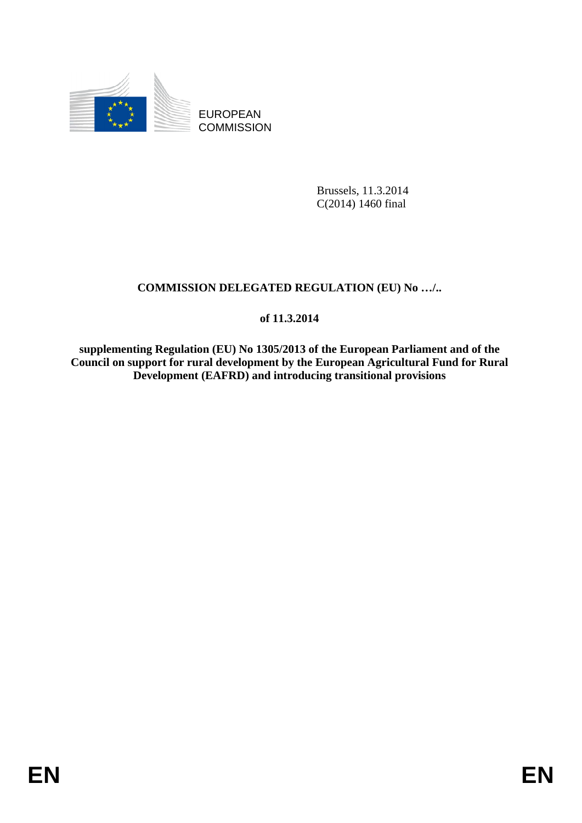

EUROPEAN **COMMISSION** 

> Brussels, 11.3.2014 C(2014) 1460 final

### **COMMISSION DELEGATED REGULATION (EU) No …/..**

### **of 11.3.2014**

**supplementing Regulation (EU) No 1305/2013 of the European Parliament and of the Council on support for rural development by the European Agricultural Fund for Rural Development (EAFRD) and introducing transitional provisions**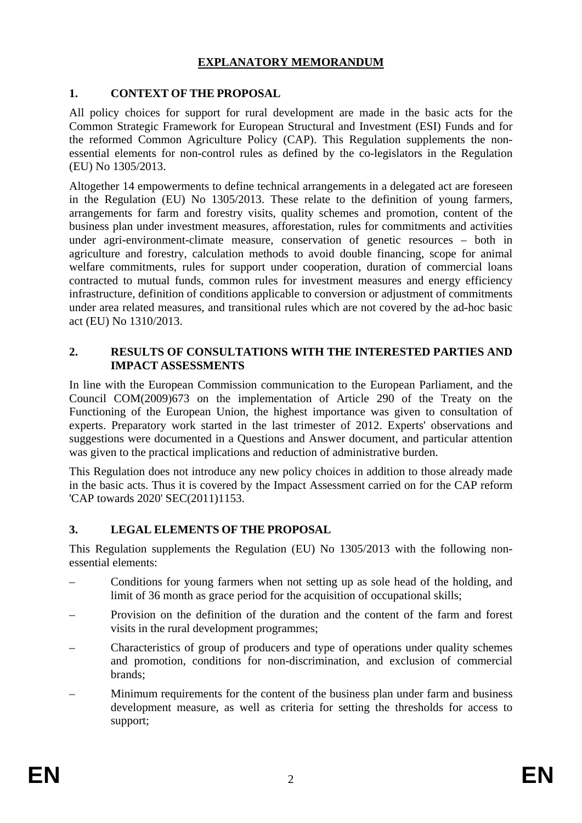### **EXPLANATORY MEMORANDUM**

#### **1. CONTEXT OF THE PROPOSAL**

All policy choices for support for rural development are made in the basic acts for the Common Strategic Framework for European Structural and Investment (ESI) Funds and for the reformed Common Agriculture Policy (CAP). This Regulation supplements the nonessential elements for non-control rules as defined by the co-legislators in the Regulation (EU) No 1305/2013.

Altogether 14 empowerments to define technical arrangements in a delegated act are foreseen in the Regulation (EU) No 1305/2013. These relate to the definition of young farmers, arrangements for farm and forestry visits, quality schemes and promotion, content of the business plan under investment measures, afforestation, rules for commitments and activities under agri-environment-climate measure, conservation of genetic resources – both in agriculture and forestry, calculation methods to avoid double financing, scope for animal welfare commitments, rules for support under cooperation, duration of commercial loans contracted to mutual funds, common rules for investment measures and energy efficiency infrastructure, definition of conditions applicable to conversion or adjustment of commitments under area related measures, and transitional rules which are not covered by the ad-hoc basic act (EU) No 1310/2013.

#### **2. RESULTS OF CONSULTATIONS WITH THE INTERESTED PARTIES AND IMPACT ASSESSMENTS**

In line with the European Commission communication to the European Parliament, and the Council COM(2009)673 on the implementation of Article 290 of the Treaty on the Functioning of the European Union, the highest importance was given to consultation of experts. Preparatory work started in the last trimester of 2012. Experts' observations and suggestions were documented in a Questions and Answer document, and particular attention was given to the practical implications and reduction of administrative burden.

This Regulation does not introduce any new policy choices in addition to those already made in the basic acts. Thus it is covered by the Impact Assessment carried on for the CAP reform 'CAP towards 2020' SEC(2011)1153.

### **3. LEGAL ELEMENTS OF THE PROPOSAL**

This Regulation supplements the Regulation (EU) No 1305/2013 with the following nonessential elements:

- Conditions for young farmers when not setting up as sole head of the holding, and limit of 36 month as grace period for the acquisition of occupational skills;
- Provision on the definition of the duration and the content of the farm and forest visits in the rural development programmes;
- Characteristics of group of producers and type of operations under quality schemes and promotion, conditions for non-discrimination, and exclusion of commercial brands;
- Minimum requirements for the content of the business plan under farm and business development measure, as well as criteria for setting the thresholds for access to support;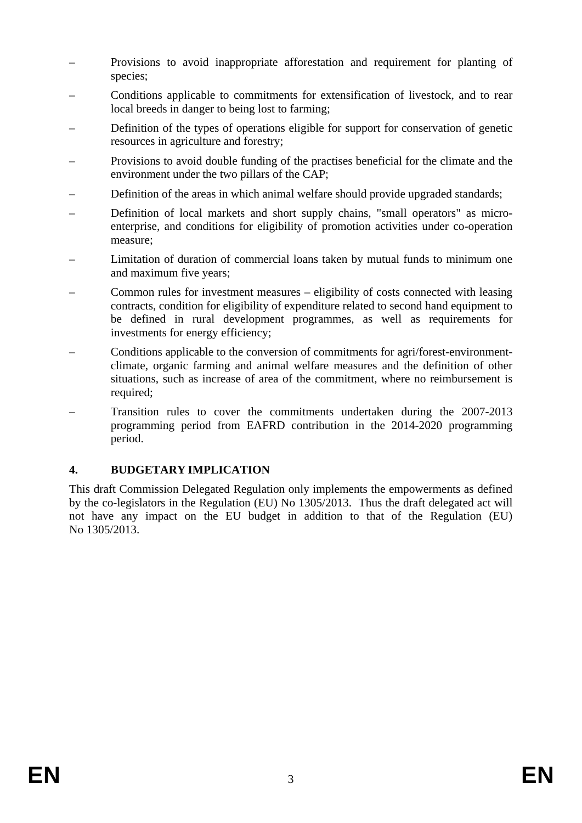- Provisions to avoid inappropriate afforestation and requirement for planting of species;
- Conditions applicable to commitments for extensification of livestock, and to rear local breeds in danger to being lost to farming;
- Definition of the types of operations eligible for support for conservation of genetic resources in agriculture and forestry;
- Provisions to avoid double funding of the practises beneficial for the climate and the environment under the two pillars of the CAP;
- Definition of the areas in which animal welfare should provide upgraded standards;
- Definition of local markets and short supply chains, "small operators" as microenterprise, and conditions for eligibility of promotion activities under co-operation measure;
- Limitation of duration of commercial loans taken by mutual funds to minimum one and maximum five years;
- Common rules for investment measures eligibility of costs connected with leasing contracts, condition for eligibility of expenditure related to second hand equipment to be defined in rural development programmes, as well as requirements for investments for energy efficiency;
- Conditions applicable to the conversion of commitments for agri/forest-environmentclimate, organic farming and animal welfare measures and the definition of other situations, such as increase of area of the commitment, where no reimbursement is required;
- Transition rules to cover the commitments undertaken during the 2007-2013 programming period from EAFRD contribution in the 2014-2020 programming period.

### **4. BUDGETARY IMPLICATION**

This draft Commission Delegated Regulation only implements the empowerments as defined by the co-legislators in the Regulation (EU) No 1305/2013. Thus the draft delegated act will not have any impact on the EU budget in addition to that of the Regulation (EU) No 1305/2013.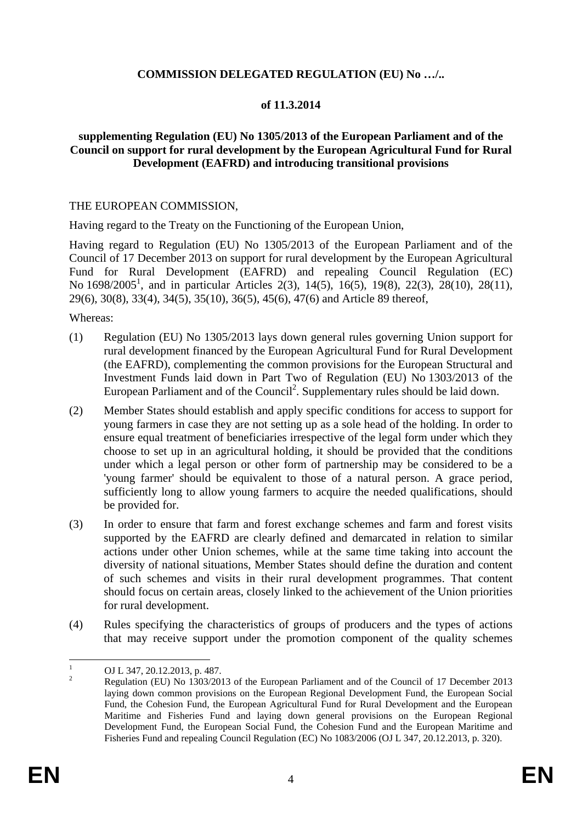#### **COMMISSION DELEGATED REGULATION (EU) No …/..**

#### **of 11.3.2014**

#### **supplementing Regulation (EU) No 1305/2013 of the European Parliament and of the Council on support for rural development by the European Agricultural Fund for Rural Development (EAFRD) and introducing transitional provisions**

#### THE EUROPEAN COMMISSION,

Having regard to the Treaty on the Functioning of the European Union,

Having regard to Regulation (EU) No 1305/2013 of the European Parliament and of the Council of 17 December 2013 on support for rural development by the European Agricultural Fund for Rural Development (EAFRD) and repealing Council Regulation (EC) No 1698/2005<sup>1</sup>, and in particular Articles 2(3), 14(5), 16(5), 19(8), 22(3), 28(10), 28(11), 29(6), 30(8), 33(4), 34(5), 35(10), 36(5), 45(6), 47(6) and Article 89 thereof,

Whereas:

- (1) Regulation (EU) No 1305/2013 lays down general rules governing Union support for rural development financed by the European Agricultural Fund for Rural Development (the EAFRD), complementing the common provisions for the European Structural and Investment Funds laid down in Part Two of Regulation (EU) No 1303/2013 of the European Parliament and of the Council<sup>2</sup>. Supplementary rules should be laid down.
- (2) Member States should establish and apply specific conditions for access to support for young farmers in case they are not setting up as a sole head of the holding. In order to ensure equal treatment of beneficiaries irrespective of the legal form under which they choose to set up in an agricultural holding, it should be provided that the conditions under which a legal person or other form of partnership may be considered to be a 'young farmer' should be equivalent to those of a natural person. A grace period, sufficiently long to allow young farmers to acquire the needed qualifications, should be provided for.
- (3) In order to ensure that farm and forest exchange schemes and farm and forest visits supported by the EAFRD are clearly defined and demarcated in relation to similar actions under other Union schemes, while at the same time taking into account the diversity of national situations, Member States should define the duration and content of such schemes and visits in their rural development programmes. That content should focus on certain areas, closely linked to the achievement of the Union priorities for rural development.
- (4) Rules specifying the characteristics of groups of producers and the types of actions that may receive support under the promotion component of the quality schemes

 $\frac{1}{1}$  OJ L 347, 20.12.2013, p. 487. 2

Regulation (EU) No 1303/2013 of the European Parliament and of the Council of 17 December 2013 laying down common provisions on the European Regional Development Fund, the European Social Fund, the Cohesion Fund, the European Agricultural Fund for Rural Development and the European Maritime and Fisheries Fund and laying down general provisions on the European Regional Development Fund, the European Social Fund, the Cohesion Fund and the European Maritime and Fisheries Fund and repealing Council Regulation (EC) No 1083/2006 (OJ L 347, 20.12.2013, p. 320).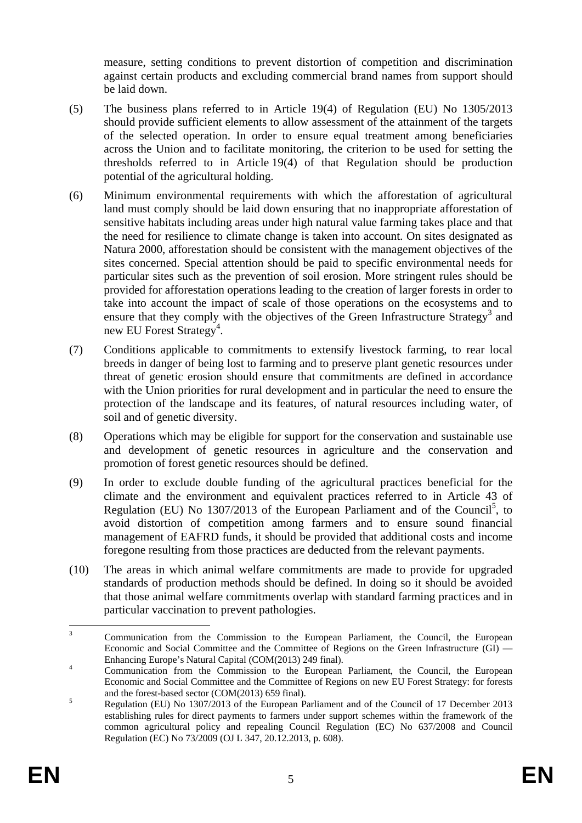measure, setting conditions to prevent distortion of competition and discrimination against certain products and excluding commercial brand names from support should be laid down.

- (5) The business plans referred to in Article 19(4) of Regulation (EU) No 1305/2013 should provide sufficient elements to allow assessment of the attainment of the targets of the selected operation. In order to ensure equal treatment among beneficiaries across the Union and to facilitate monitoring, the criterion to be used for setting the thresholds referred to in Article 19(4) of that Regulation should be production potential of the agricultural holding.
- (6) Minimum environmental requirements with which the afforestation of agricultural land must comply should be laid down ensuring that no inappropriate afforestation of sensitive habitats including areas under high natural value farming takes place and that the need for resilience to climate change is taken into account. On sites designated as Natura 2000, afforestation should be consistent with the management objectives of the sites concerned. Special attention should be paid to specific environmental needs for particular sites such as the prevention of soil erosion. More stringent rules should be provided for afforestation operations leading to the creation of larger forests in order to take into account the impact of scale of those operations on the ecosystems and to ensure that they comply with the objectives of the Green Infrastructure Strategy<sup>3</sup> and new EU Forest Strategy<sup>4</sup>.
- (7) Conditions applicable to commitments to extensify livestock farming, to rear local breeds in danger of being lost to farming and to preserve plant genetic resources under threat of genetic erosion should ensure that commitments are defined in accordance with the Union priorities for rural development and in particular the need to ensure the protection of the landscape and its features, of natural resources including water, of soil and of genetic diversity.
- (8) Operations which may be eligible for support for the conservation and sustainable use and development of genetic resources in agriculture and the conservation and promotion of forest genetic resources should be defined.
- (9) In order to exclude double funding of the agricultural practices beneficial for the climate and the environment and equivalent practices referred to in Article 43 of Regulation (EU) No 1307/2013 of the European Parliament and of the Council<sup>5</sup>, to avoid distortion of competition among farmers and to ensure sound financial management of EAFRD funds, it should be provided that additional costs and income foregone resulting from those practices are deducted from the relevant payments.
- (10) The areas in which animal welfare commitments are made to provide for upgraded standards of production methods should be defined. In doing so it should be avoided that those animal welfare commitments overlap with standard farming practices and in particular vaccination to prevent pathologies.

 $\frac{1}{3}$  Communication from the Commission to the European Parliament, the Council, the European Economic and Social Committee and the Committee of Regions on the Green Infrastructure (GI) — Enhancing Europe's Natural Capital (COM(2013) 249 final).

Communication from the Commission to the European Parliament, the Council, the European Economic and Social Committee and the Committee of Regions on new EU Forest Strategy: for forests and the forest-based sector  $(COM(2013) 659$  final).

Regulation (EU) No 1307/2013 of the European Parliament and of the Council of 17 December 2013 establishing rules for direct payments to farmers under support schemes within the framework of the common agricultural policy and repealing Council Regulation (EC) No 637/2008 and Council Regulation (EC) No 73/2009 (OJ L 347, 20.12.2013, p. 608).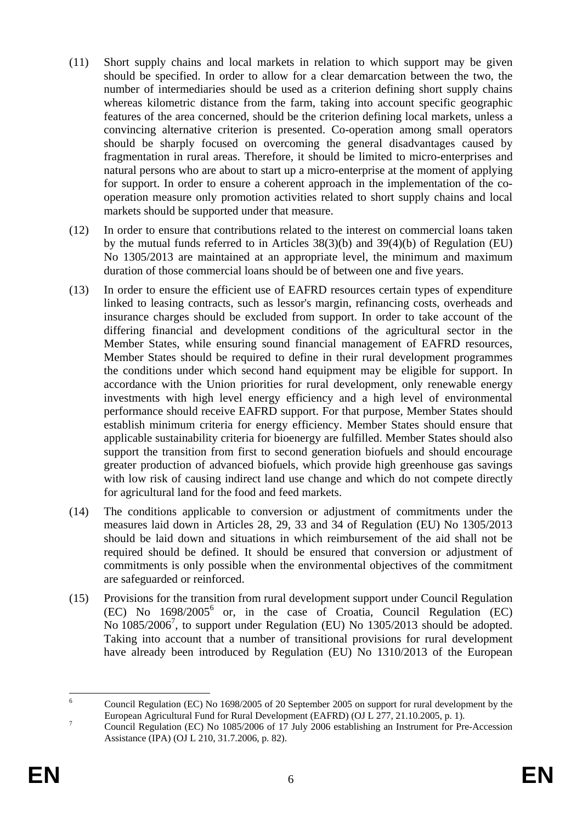- (11) Short supply chains and local markets in relation to which support may be given should be specified. In order to allow for a clear demarcation between the two, the number of intermediaries should be used as a criterion defining short supply chains whereas kilometric distance from the farm, taking into account specific geographic features of the area concerned, should be the criterion defining local markets, unless a convincing alternative criterion is presented. Co-operation among small operators should be sharply focused on overcoming the general disadvantages caused by fragmentation in rural areas. Therefore, it should be limited to micro-enterprises and natural persons who are about to start up a micro-enterprise at the moment of applying for support. In order to ensure a coherent approach in the implementation of the cooperation measure only promotion activities related to short supply chains and local markets should be supported under that measure.
- (12) In order to ensure that contributions related to the interest on commercial loans taken by the mutual funds referred to in Articles 38(3)(b) and 39(4)(b) of Regulation (EU) No 1305/2013 are maintained at an appropriate level, the minimum and maximum duration of those commercial loans should be of between one and five years.
- (13) In order to ensure the efficient use of EAFRD resources certain types of expenditure linked to leasing contracts, such as lessor's margin, refinancing costs, overheads and insurance charges should be excluded from support. In order to take account of the differing financial and development conditions of the agricultural sector in the Member States, while ensuring sound financial management of EAFRD resources, Member States should be required to define in their rural development programmes the conditions under which second hand equipment may be eligible for support. In accordance with the Union priorities for rural development, only renewable energy investments with high level energy efficiency and a high level of environmental performance should receive EAFRD support. For that purpose, Member States should establish minimum criteria for energy efficiency. Member States should ensure that applicable sustainability criteria for bioenergy are fulfilled. Member States should also support the transition from first to second generation biofuels and should encourage greater production of advanced biofuels, which provide high greenhouse gas savings with low risk of causing indirect land use change and which do not compete directly for agricultural land for the food and feed markets.
- (14) The conditions applicable to conversion or adjustment of commitments under the measures laid down in Articles 28, 29, 33 and 34 of Regulation (EU) No 1305/2013 should be laid down and situations in which reimbursement of the aid shall not be required should be defined. It should be ensured that conversion or adjustment of commitments is only possible when the environmental objectives of the commitment are safeguarded or reinforced.
- (15) Provisions for the transition from rural development support under Council Regulation (EC) No 1698/20056 or, in the case of Croatia, Council Regulation (EC) No 1085/2006<sup>7</sup>, to support under Regulation (EU) No 1305/2013 should be adopted. Taking into account that a number of transitional provisions for rural development have already been introduced by Regulation (EU) No 1310/2013 of the European

 $\frac{1}{6}$  Council Regulation (EC) No 1698/2005 of 20 September 2005 on support for rural development by the European Agricultural Fund for Rural Development (EAFRD) (OJ L 277, 21.10.2005, p. 1).

Council Regulation (EC) No 1085/2006 of 17 July 2006 establishing an Instrument for Pre-Accession Assistance (IPA) (OJ L 210, 31.7.2006, p. 82).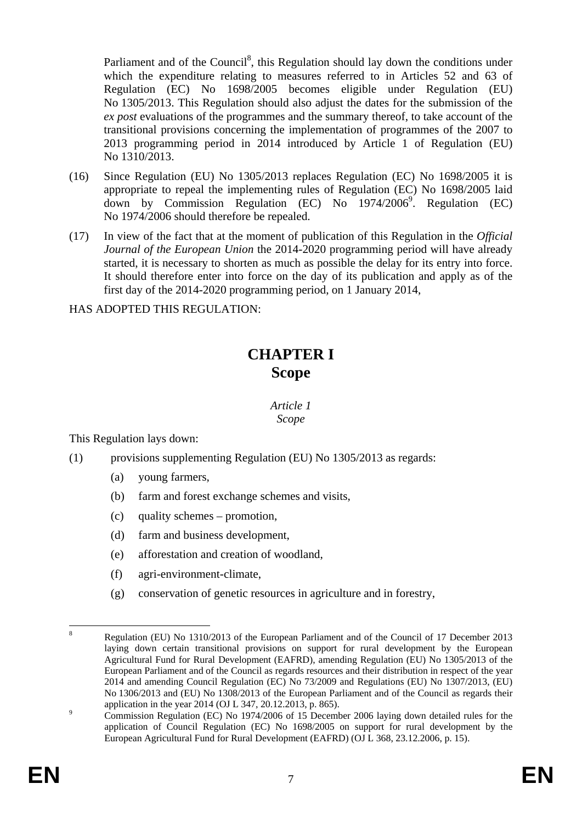Parliament and of the Council<sup>8</sup>, this Regulation should lay down the conditions under which the expenditure relating to measures referred to in Articles 52 and 63 of Regulation (EC) No 1698/2005 becomes eligible under Regulation (EU) No 1305/2013. This Regulation should also adjust the dates for the submission of the *ex post* evaluations of the programmes and the summary thereof, to take account of the transitional provisions concerning the implementation of programmes of the 2007 to 2013 programming period in 2014 introduced by Article 1 of Regulation (EU) No 1310/2013.

- (16) Since Regulation (EU) No 1305/2013 replaces Regulation (EC) No 1698/2005 it is appropriate to repeal the implementing rules of Regulation (EC) No 1698/2005 laid down by Commission Regulation (EC) No 1974/2006<sup>9</sup>. Regulation (EC) No 1974/2006 should therefore be repealed.
- (17) In view of the fact that at the moment of publication of this Regulation in the *Official Journal of the European Union* the 2014-2020 programming period will have already started, it is necessary to shorten as much as possible the delay for its entry into force. It should therefore enter into force on the day of its publication and apply as of the first day of the 2014-2020 programming period, on 1 January 2014,

HAS ADOPTED THIS REGULATION:

# **CHAPTER I Scope**

*Article 1 Scope* 

This Regulation lays down:

- (1) provisions supplementing Regulation (EU) No 1305/2013 as regards:
	- (a) young farmers,
	- (b) farm and forest exchange schemes and visits,
	- (c) quality schemes promotion,
	- (d) farm and business development,
	- (e) afforestation and creation of woodland,
	- (f) agri-environment-climate,
	- (g) conservation of genetic resources in agriculture and in forestry,

 $\frac{1}{8}$  Regulation (EU) No 1310/2013 of the European Parliament and of the Council of 17 December 2013 laying down certain transitional provisions on support for rural development by the European Agricultural Fund for Rural Development (EAFRD), amending Regulation (EU) No 1305/2013 of the European Parliament and of the Council as regards resources and their distribution in respect of the year 2014 and amending Council Regulation (EC) No 73/2009 and Regulations (EU) No 1307/2013, (EU) No 1306/2013 and (EU) No 1308/2013 of the European Parliament and of the Council as regards their application in the year 2014 (OJ L 347, 20.12.2013, p. 865).

Commission Regulation (EC) No 1974/2006 of 15 December 2006 laying down detailed rules for the application of Council Regulation (EC) No 1698/2005 on support for rural development by the European Agricultural Fund for Rural Development (EAFRD) (OJ L 368, 23.12.2006, p. 15).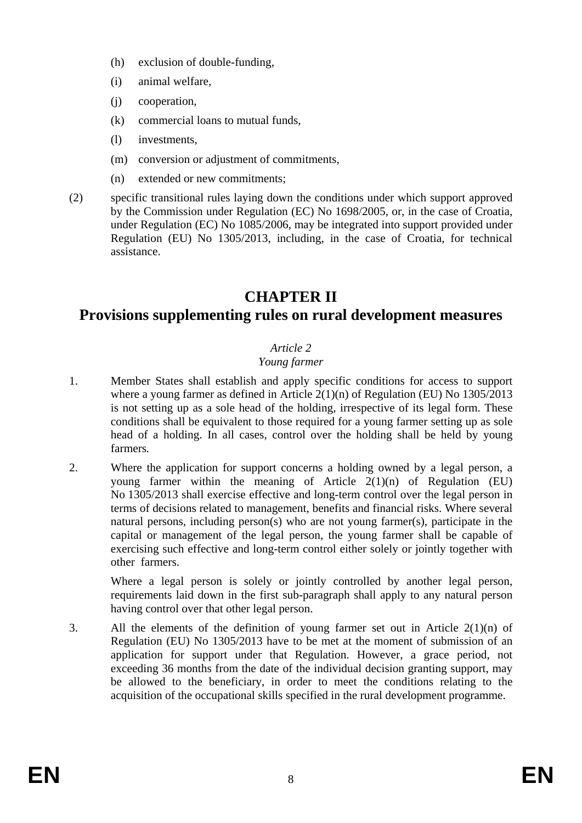- (h) exclusion of double-funding,
- (i) animal welfare,
- (j) cooperation,
- (k) commercial loans to mutual funds,
- (l) investments,
- (m) conversion or adjustment of commitments,
- (n) extended or new commitments;
- (2) specific transitional rules laying down the conditions under which support approved by the Commission under Regulation (EC) No 1698/2005, or, in the case of Croatia, under Regulation (EC) No 1085/2006, may be integrated into support provided under Regulation (EU) No 1305/2013, including, in the case of Croatia, for technical assistance.

# **CHAPTER II**

# **Provisions supplementing rules on rural development measures**

### *Article 2*

### *Young farmer*

- 1. Member States shall establish and apply specific conditions for access to support where a young farmer as defined in Article 2(1)(n) of Regulation (EU) No 1305/2013 is not setting up as a sole head of the holding, irrespective of its legal form. These conditions shall be equivalent to those required for a young farmer setting up as sole head of a holding. In all cases, control over the holding shall be held by young farmers*.*
- 2. Where the application for support concerns a holding owned by a legal person, a young farmer within the meaning of Article  $2(1)(n)$  of Regulation (EU) No 1305/2013 shall exercise effective and long-term control over the legal person in terms of decisions related to management, benefits and financial risks. Where several natural persons, including person(s) who are not young farmer(s), participate in the capital or management of the legal person, the young farmer shall be capable of exercising such effective and long-term control either solely or jointly together with other farmers.

Where a legal person is solely or jointly controlled by another legal person, requirements laid down in the first sub-paragraph shall apply to any natural person having control over that other legal person.

3. All the elements of the definition of young farmer set out in Article 2(1)(n) of Regulation (EU) No 1305/2013 have to be met at the moment of submission of an application for support under that Regulation. However, a grace period, not exceeding 36 months from the date of the individual decision granting support, may be allowed to the beneficiary, in order to meet the conditions relating to the acquisition of the occupational skills specified in the rural development programme.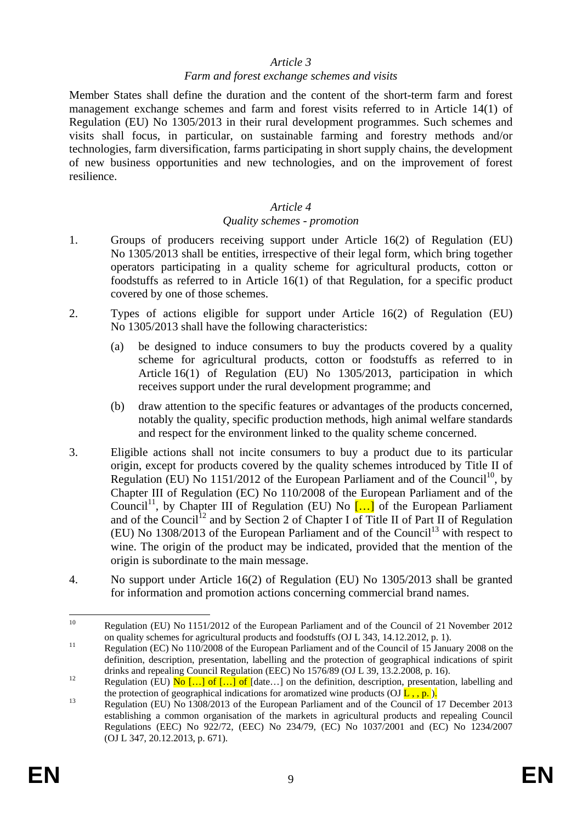#### *Farm and forest exchange schemes and visits*

Member States shall define the duration and the content of the short-term farm and forest management exchange schemes and farm and forest visits referred to in Article 14(1) of Regulation (EU) No 1305/2013 in their rural development programmes. Such schemes and visits shall focus, in particular, on sustainable farming and forestry methods and/or technologies, farm diversification, farms participating in short supply chains, the development of new business opportunities and new technologies, and on the improvement of forest resilience.

#### *Article 4*

#### *Quality schemes - promotion*

- 1. Groups of producers receiving support under Article 16(2) of Regulation (EU) No 1305/2013 shall be entities, irrespective of their legal form, which bring together operators participating in a quality scheme for agricultural products, cotton or foodstuffs as referred to in Article 16(1) of that Regulation, for a specific product covered by one of those schemes.
- 2. Types of actions eligible for support under Article 16(2) of Regulation (EU) No 1305/2013 shall have the following characteristics:
	- (a) be designed to induce consumers to buy the products covered by a quality scheme for agricultural products, cotton or foodstuffs as referred to in Article 16(1) of Regulation (EU) No 1305/2013, participation in which receives support under the rural development programme; and
	- (b) draw attention to the specific features or advantages of the products concerned, notably the quality, specific production methods, high animal welfare standards and respect for the environment linked to the quality scheme concerned.
- 3. Eligible actions shall not incite consumers to buy a product due to its particular origin, except for products covered by the quality schemes introduced by Title II of Regulation (EU) No 1151/2012 of the European Parliament and of the Council<sup>10</sup>, by Chapter III of Regulation (EC) No 110/2008 of the European Parliament and of the Council<sup>11</sup>, by Chapter III of Regulation (EU) No  $\left[\ldots\right]$  of the European Parliament and of the Council<sup>12</sup> and by Section 2 of Chapter I of Title II of Part II of Regulation (EU) No  $1308/2013$  of the European Parliament and of the Council<sup>13</sup> with respect to wine. The origin of the product may be indicated, provided that the mention of the origin is subordinate to the main message.
- 4. No support under Article 16(2) of Regulation (EU) No 1305/2013 shall be granted for information and promotion actions concerning commercial brand names.

 $10$ Regulation (EU) No 1151/2012 of the European Parliament and of the Council of 21 November 2012 on quality schemes for agricultural products and foodstuffs (OJ L 343, 14.12.2012, p. 1).

<sup>&</sup>lt;sup>11</sup> Regulation (EC) No 110/2008 of the European Parliament and of the Council of 15 January 2008 on the definition, description, presentation, labelling and the protection of geographical indications of spirit drinks and repealing Council Regulation (EEC) No 1576/89 (OJ L 39, 13.2.2008, p. 16).

drimks and repealing Council Regulation (EEC) No 1678/89 (OU EV), reduces  $p_i$  resp.<br>Regulation (EU) No […] of […] of [date…] on the definition, description, presentation, labelling and the protection of geographical indications for aromatized wine products  $(OJ \overline{L}$ , , p. ).<br>Regulation (EU) No 1308/2013 of the European Parliament and of the Council of 17 December 2013

establishing a common organisation of the markets in agricultural products and repealing Council Regulations (EEC) No 922/72, (EEC) No 234/79, (EC) No 1037/2001 and (EC) No 1234/2007 (OJ L 347, 20.12.2013, p. 671).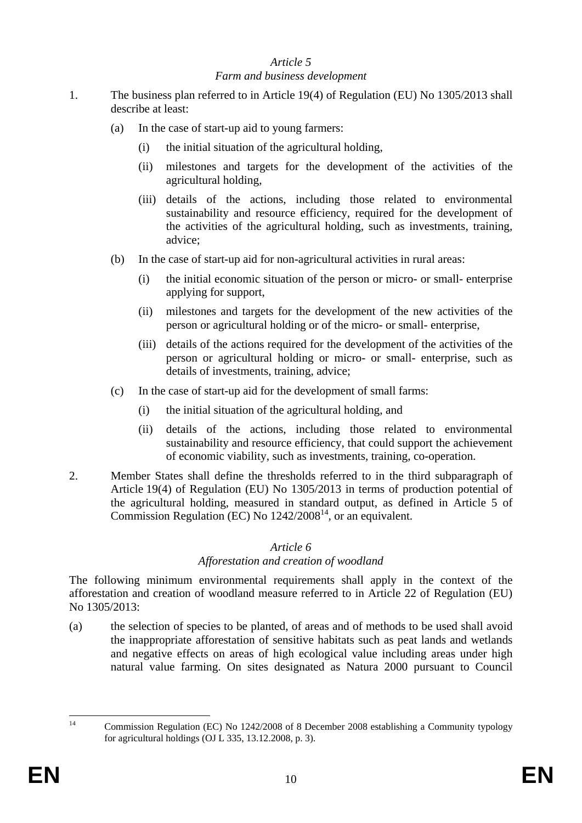#### *Farm and business development*

- 1. The business plan referred to in Article 19(4) of Regulation (EU) No 1305/2013 shall describe at least:
	- (a) In the case of start-up aid to young farmers:
		- (i) the initial situation of the agricultural holding,
		- (ii) milestones and targets for the development of the activities of the agricultural holding,
		- (iii) details of the actions, including those related to environmental sustainability and resource efficiency, required for the development of the activities of the agricultural holding, such as investments, training, advice;
	- (b) In the case of start-up aid for non-agricultural activities in rural areas:
		- (i) the initial economic situation of the person or micro- or small- enterprise applying for support,
		- (ii) milestones and targets for the development of the new activities of the person or agricultural holding or of the micro- or small- enterprise,
		- (iii) details of the actions required for the development of the activities of the person or agricultural holding or micro- or small- enterprise, such as details of investments, training, advice;
	- (c) In the case of start-up aid for the development of small farms:
		- (i) the initial situation of the agricultural holding, and
		- (ii) details of the actions, including those related to environmental sustainability and resource efficiency, that could support the achievement of economic viability, such as investments, training, co-operation.
- 2. Member States shall define the thresholds referred to in the third subparagraph of Article 19(4) of Regulation (EU) No 1305/2013 in terms of production potential of the agricultural holding, measured in standard output, as defined in Article 5 of Commission Regulation (EC) No  $1242/2008^{14}$ , or an equivalent.

### *Article 6*

### *Afforestation and creation of woodland*

The following minimum environmental requirements shall apply in the context of the afforestation and creation of woodland measure referred to in Article 22 of Regulation (EU) No 1305/2013:

(a) the selection of species to be planted, of areas and of methods to be used shall avoid the inappropriate afforestation of sensitive habitats such as peat lands and wetlands and negative effects on areas of high ecological value including areas under high natural value farming. On sites designated as Natura 2000 pursuant to Council

 $\overline{14}$ 14 Commission Regulation (EC) No 1242/2008 of 8 December 2008 establishing a Community typology for agricultural holdings (OJ L 335, 13.12.2008, p. 3).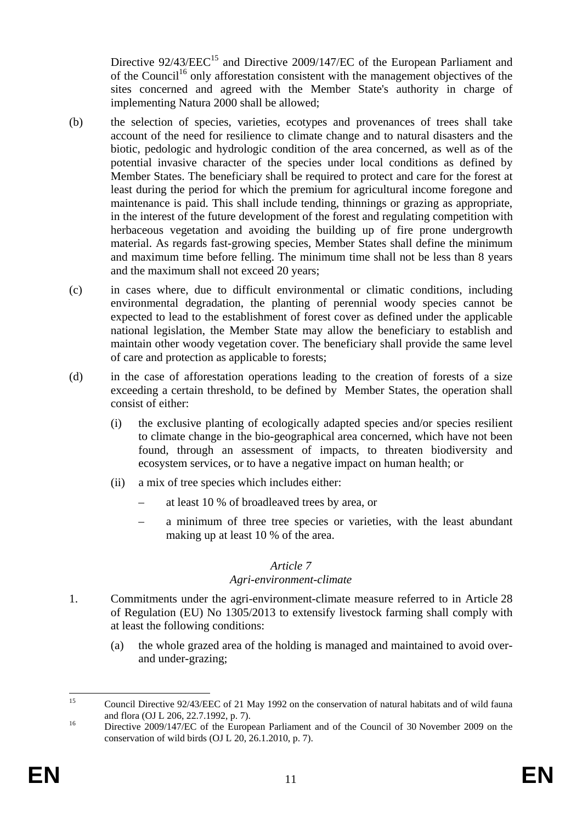Directive  $92/43/EEC^{15}$  and Directive 2009/147/EC of the European Parliament and of the Council<sup>16</sup> only afforestation consistent with the management objectives of the sites concerned and agreed with the Member State's authority in charge of implementing Natura 2000 shall be allowed;

- (b) the selection of species, varieties, ecotypes and provenances of trees shall take account of the need for resilience to climate change and to natural disasters and the biotic, pedologic and hydrologic condition of the area concerned, as well as of the potential invasive character of the species under local conditions as defined by Member States. The beneficiary shall be required to protect and care for the forest at least during the period for which the premium for agricultural income foregone and maintenance is paid. This shall include tending, thinnings or grazing as appropriate, in the interest of the future development of the forest and regulating competition with herbaceous vegetation and avoiding the building up of fire prone undergrowth material. As regards fast-growing species, Member States shall define the minimum and maximum time before felling. The minimum time shall not be less than 8 years and the maximum shall not exceed 20 years;
- (c) in cases where, due to difficult environmental or climatic conditions, including environmental degradation, the planting of perennial woody species cannot be expected to lead to the establishment of forest cover as defined under the applicable national legislation, the Member State may allow the beneficiary to establish and maintain other woody vegetation cover. The beneficiary shall provide the same level of care and protection as applicable to forests;
- (d) in the case of afforestation operations leading to the creation of forests of a size exceeding a certain threshold, to be defined by Member States, the operation shall consist of either:
	- (i) the exclusive planting of ecologically adapted species and/or species resilient to climate change in the bio-geographical area concerned, which have not been found, through an assessment of impacts, to threaten biodiversity and ecosystem services, or to have a negative impact on human health; or
	- (ii) a mix of tree species which includes either:
		- at least 10 % of broadleaved trees by area, or
		- a minimum of three tree species or varieties, with the least abundant making up at least 10 % of the area.

### *Article 7*

#### *Agri-environment-climate*

- 1. Commitments under the agri-environment-climate measure referred to in Article 28 of Regulation (EU) No 1305/2013 to extensify livestock farming shall comply with at least the following conditions:
	- (a) the whole grazed area of the holding is managed and maintained to avoid overand under-grazing;

 $15$ 15 Council Directive 92/43/EEC of 21 May 1992 on the conservation of natural habitats and of wild fauna and flora (OJ L 206, 22.7.1992, p. 7).<br>
Directive 2009/147/EC of the European Parliament and of the Council of 30 November 2009 on the

conservation of wild birds (OJ L 20, 26.1.2010, p. 7).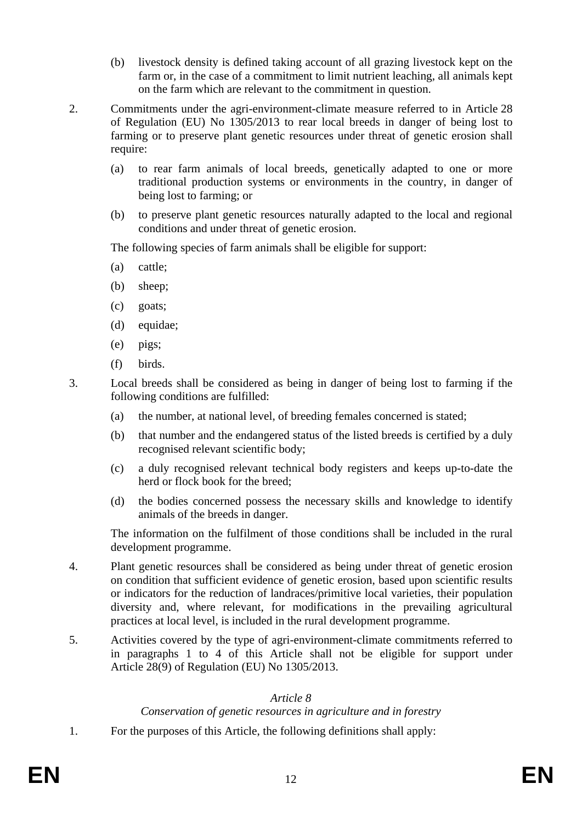- (b) livestock density is defined taking account of all grazing livestock kept on the farm or, in the case of a commitment to limit nutrient leaching, all animals kept on the farm which are relevant to the commitment in question.
- 2. Commitments under the agri-environment-climate measure referred to in Article 28 of Regulation (EU) No 1305/2013 to rear local breeds in danger of being lost to farming or to preserve plant genetic resources under threat of genetic erosion shall require:
	- (a) to rear farm animals of local breeds, genetically adapted to one or more traditional production systems or environments in the country, in danger of being lost to farming; or
	- (b) to preserve plant genetic resources naturally adapted to the local and regional conditions and under threat of genetic erosion.

The following species of farm animals shall be eligible for support:

- (a) cattle;
- (b) sheep;
- (c) goats;
- (d) equidae;
- (e) pigs;
- (f) birds.
- 3. Local breeds shall be considered as being in danger of being lost to farming if the following conditions are fulfilled:
	- (a) the number, at national level, of breeding females concerned is stated;
	- (b) that number and the endangered status of the listed breeds is certified by a duly recognised relevant scientific body;
	- (c) a duly recognised relevant technical body registers and keeps up-to-date the herd or flock book for the breed;
	- (d) the bodies concerned possess the necessary skills and knowledge to identify animals of the breeds in danger.

The information on the fulfilment of those conditions shall be included in the rural development programme.

- 4. Plant genetic resources shall be considered as being under threat of genetic erosion on condition that sufficient evidence of genetic erosion, based upon scientific results or indicators for the reduction of landraces/primitive local varieties, their population diversity and, where relevant, for modifications in the prevailing agricultural practices at local level, is included in the rural development programme.
- 5. Activities covered by the type of agri-environment-climate commitments referred to in paragraphs 1 to 4 of this Article shall not be eligible for support under Article 28(9) of Regulation (EU) No 1305/2013.

### *Article 8*

### *Conservation of genetic resources in agriculture and in forestry*

1. For the purposes of this Article, the following definitions shall apply: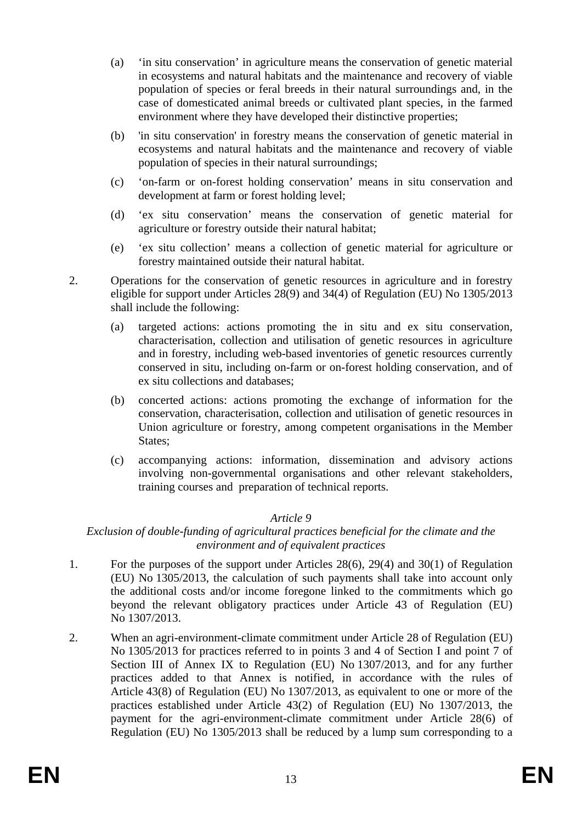- (a) 'in situ conservation' in agriculture means the conservation of genetic material in ecosystems and natural habitats and the maintenance and recovery of viable population of species or feral breeds in their natural surroundings and, in the case of domesticated animal breeds or cultivated plant species, in the farmed environment where they have developed their distinctive properties;
- (b) 'in situ conservation' in forestry means the conservation of genetic material in ecosystems and natural habitats and the maintenance and recovery of viable population of species in their natural surroundings;
- (c) 'on-farm or on-forest holding conservation' means in situ conservation and development at farm or forest holding level;
- (d) 'ex situ conservation' means the conservation of genetic material for agriculture or forestry outside their natural habitat;
- (e) 'ex situ collection' means a collection of genetic material for agriculture or forestry maintained outside their natural habitat.
- 2. Operations for the conservation of genetic resources in agriculture and in forestry eligible for support under Articles 28(9) and 34(4) of Regulation (EU) No 1305/2013 shall include the following:
	- (a) targeted actions: actions promoting the in situ and ex situ conservation, characterisation, collection and utilisation of genetic resources in agriculture and in forestry, including web-based inventories of genetic resources currently conserved in situ, including on-farm or on-forest holding conservation, and of ex situ collections and databases;
	- (b) concerted actions: actions promoting the exchange of information for the conservation, characterisation, collection and utilisation of genetic resources in Union agriculture or forestry, among competent organisations in the Member States;
	- (c) accompanying actions: information, dissemination and advisory actions involving non-governmental organisations and other relevant stakeholders, training courses and preparation of technical reports.

#### *Exclusion of double-funding of agricultural practices beneficial for the climate and the environment and of equivalent practices*

- 1. For the purposes of the support under Articles 28(6), 29(4) and 30(1) of Regulation (EU) No 1305/2013, the calculation of such payments shall take into account only the additional costs and/or income foregone linked to the commitments which go beyond the relevant obligatory practices under Article 43 of Regulation (EU) No 1307/2013.
- 2. When an agri-environment-climate commitment under Article 28 of Regulation (EU) No 1305/2013 for practices referred to in points 3 and 4 of Section I and point 7 of Section III of Annex IX to Regulation (EU) No 1307/2013, and for any further practices added to that Annex is notified, in accordance with the rules of Article 43(8) of Regulation (EU) No 1307/2013, as equivalent to one or more of the practices established under Article 43(2) of Regulation (EU) No 1307/2013, the payment for the agri-environment-climate commitment under Article 28(6) of Regulation (EU) No 1305/2013 shall be reduced by a lump sum corresponding to a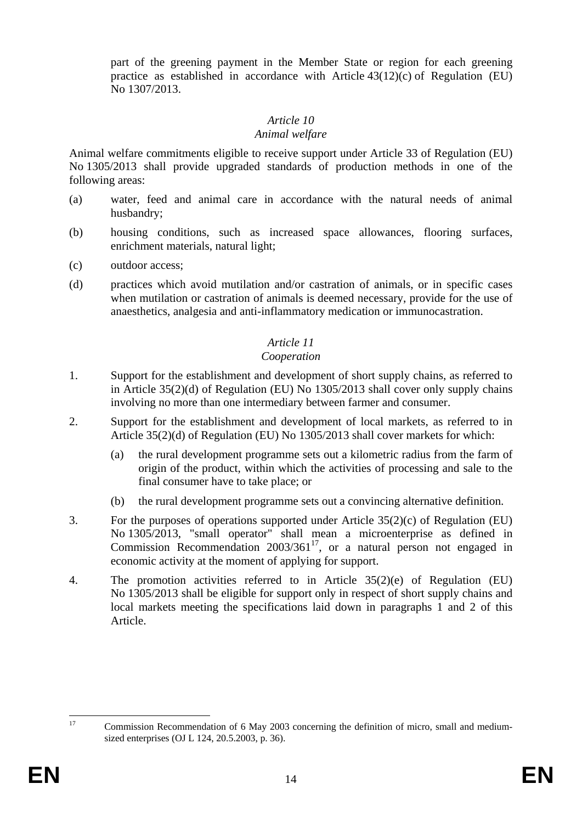part of the greening payment in the Member State or region for each greening practice as established in accordance with Article  $43(12)(c)$  of Regulation (EU) No 1307/2013.

### *Article 10*

#### *Animal welfare*

Animal welfare commitments eligible to receive support under Article 33 of Regulation (EU) No 1305/2013 shall provide upgraded standards of production methods in one of the following areas:

- (a) water, feed and animal care in accordance with the natural needs of animal husbandry;
- (b) housing conditions, such as increased space allowances, flooring surfaces, enrichment materials, natural light;
- (c) outdoor access;
- (d) practices which avoid mutilation and/or castration of animals, or in specific cases when mutilation or castration of animals is deemed necessary, provide for the use of anaesthetics, analgesia and anti-inflammatory medication or immunocastration.

### *Article 11*

#### *Cooperation*

- 1. Support for the establishment and development of short supply chains, as referred to in Article 35(2)(d) of Regulation (EU) No 1305/2013 shall cover only supply chains involving no more than one intermediary between farmer and consumer.
- 2. Support for the establishment and development of local markets, as referred to in Article 35(2)(d) of Regulation (EU) No 1305/2013 shall cover markets for which:
	- (a) the rural development programme sets out a kilometric radius from the farm of origin of the product, within which the activities of processing and sale to the final consumer have to take place; or
	- (b) the rural development programme sets out a convincing alternative definition.
- 3. For the purposes of operations supported under Article 35(2)(c) of Regulation (EU) No 1305/2013, "small operator" shall mean a microenterprise as defined in Commission Recommendation 2003/36117, or a natural person not engaged in economic activity at the moment of applying for support.
- 4. The promotion activities referred to in Article 35(2)(e) of Regulation (EU) No 1305/2013 shall be eligible for support only in respect of short supply chains and local markets meeting the specifications laid down in paragraphs 1 and 2 of this Article.

 $17$ 17 Commission Recommendation of 6 May 2003 concerning the definition of micro, small and mediumsized enterprises (OJ L 124, 20.5.2003, p. 36).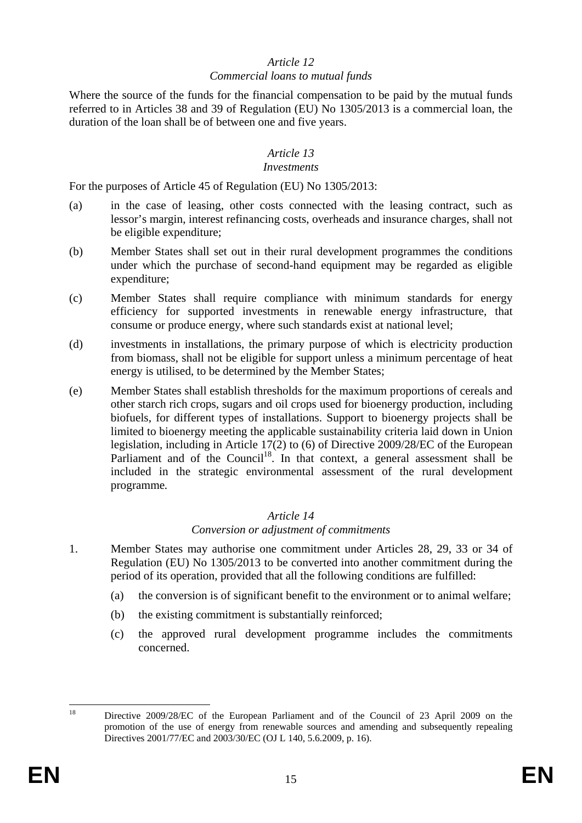#### *Commercial loans to mutual funds*

Where the source of the funds for the financial compensation to be paid by the mutual funds referred to in Articles 38 and 39 of Regulation (EU) No 1305/2013 is a commercial loan, the duration of the loan shall be of between one and five years.

#### *Article 13*

#### *Investments*

For the purposes of Article 45 of Regulation (EU) No 1305/2013:

- (a) in the case of leasing, other costs connected with the leasing contract, such as lessor's margin, interest refinancing costs, overheads and insurance charges, shall not be eligible expenditure;
- (b) Member States shall set out in their rural development programmes the conditions under which the purchase of second-hand equipment may be regarded as eligible expenditure;
- (c) Member States shall require compliance with minimum standards for energy efficiency for supported investments in renewable energy infrastructure, that consume or produce energy, where such standards exist at national level;
- (d) investments in installations, the primary purpose of which is electricity production from biomass, shall not be eligible for support unless a minimum percentage of heat energy is utilised, to be determined by the Member States;
- (e) Member States shall establish thresholds for the maximum proportions of cereals and other starch rich crops, sugars and oil crops used for bioenergy production, including biofuels, for different types of installations. Support to bioenergy projects shall be limited to bioenergy meeting the applicable sustainability criteria laid down in Union legislation, including in Article 17(2) to (6) of Directive 2009/28/EC of the European Parliament and of the Council<sup>18</sup>. In that context, a general assessment shall be included in the strategic environmental assessment of the rural development programme*.*

### *Article 14*

#### *Conversion or adjustment of commitments*

- 1. Member States may authorise one commitment under Articles 28, 29, 33 or 34 of Regulation (EU) No 1305/2013 to be converted into another commitment during the period of its operation, provided that all the following conditions are fulfilled:
	- (a) the conversion is of significant benefit to the environment or to animal welfare;
	- (b) the existing commitment is substantially reinforced;
	- (c) the approved rural development programme includes the commitments concerned.

 $\overline{18}$ 

Directive 2009/28/EC of the European Parliament and of the Council of 23 April 2009 on the promotion of the use of energy from renewable sources and amending and subsequently repealing Directives 2001/77/EC and 2003/30/EC (OJ L 140, 5.6.2009, p. 16).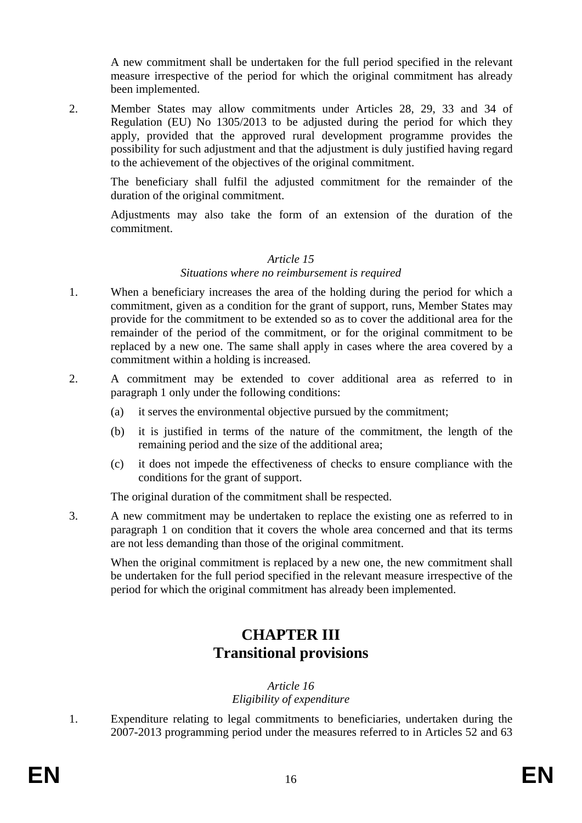A new commitment shall be undertaken for the full period specified in the relevant measure irrespective of the period for which the original commitment has already been implemented.

2. Member States may allow commitments under Articles 28, 29, 33 and 34 of Regulation (EU) No 1305/2013 to be adjusted during the period for which they apply, provided that the approved rural development programme provides the possibility for such adjustment and that the adjustment is duly justified having regard to the achievement of the objectives of the original commitment.

The beneficiary shall fulfil the adjusted commitment for the remainder of the duration of the original commitment.

Adjustments may also take the form of an extension of the duration of the commitment.

#### *Article 15*

#### *Situations where no reimbursement is required*

- 1. When a beneficiary increases the area of the holding during the period for which a commitment, given as a condition for the grant of support, runs, Member States may provide for the commitment to be extended so as to cover the additional area for the remainder of the period of the commitment, or for the original commitment to be replaced by a new one. The same shall apply in cases where the area covered by a commitment within a holding is increased.
- 2. A commitment may be extended to cover additional area as referred to in paragraph 1 only under the following conditions:
	- (a) it serves the environmental objective pursued by the commitment;
	- (b) it is justified in terms of the nature of the commitment, the length of the remaining period and the size of the additional area;
	- (c) it does not impede the effectiveness of checks to ensure compliance with the conditions for the grant of support.

The original duration of the commitment shall be respected.

3. A new commitment may be undertaken to replace the existing one as referred to in paragraph 1 on condition that it covers the whole area concerned and that its terms are not less demanding than those of the original commitment.

When the original commitment is replaced by a new one, the new commitment shall be undertaken for the full period specified in the relevant measure irrespective of the period for which the original commitment has already been implemented.

## **CHAPTER III Transitional provisions**

#### *Article 16 Eligibility of expenditure*

1. Expenditure relating to legal commitments to beneficiaries, undertaken during the 2007-2013 programming period under the measures referred to in Articles 52 and 63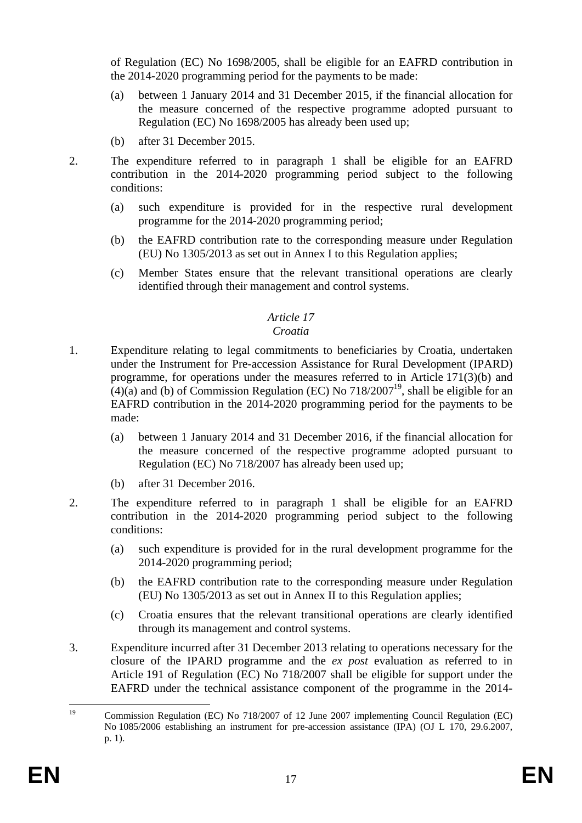of Regulation (EC) No 1698/2005, shall be eligible for an EAFRD contribution in the 2014-2020 programming period for the payments to be made:

- (a) between 1 January 2014 and 31 December 2015, if the financial allocation for the measure concerned of the respective programme adopted pursuant to Regulation (EC) No 1698/2005 has already been used up;
- (b) after 31 December 2015.
- 2. The expenditure referred to in paragraph 1 shall be eligible for an EAFRD contribution in the 2014-2020 programming period subject to the following conditions:
	- (a) such expenditure is provided for in the respective rural development programme for the 2014-2020 programming period;
	- (b) the EAFRD contribution rate to the corresponding measure under Regulation (EU) No 1305/2013 as set out in Annex I to this Regulation applies;
	- (c) Member States ensure that the relevant transitional operations are clearly identified through their management and control systems.

### *Article 17*

### *Croatia*

- 1. Expenditure relating to legal commitments to beneficiaries by Croatia, undertaken under the Instrument for Pre-accession Assistance for Rural Development (IPARD) programme, for operations under the measures referred to in Article 171(3)(b) and  $(4)(a)$  and (b) of Commission Regulation (EC) No 718/2007<sup>19</sup>, shall be eligible for an EAFRD contribution in the 2014-2020 programming period for the payments to be made:
	- (a) between 1 January 2014 and 31 December 2016, if the financial allocation for the measure concerned of the respective programme adopted pursuant to Regulation (EC) No 718/2007 has already been used up;
	- (b) after 31 December 2016.
- 2. The expenditure referred to in paragraph 1 shall be eligible for an EAFRD contribution in the 2014-2020 programming period subject to the following conditions:
	- (a) such expenditure is provided for in the rural development programme for the 2014-2020 programming period;
	- (b) the EAFRD contribution rate to the corresponding measure under Regulation (EU) No 1305/2013 as set out in Annex II to this Regulation applies;
	- (c) Croatia ensures that the relevant transitional operations are clearly identified through its management and control systems.
- 3. Expenditure incurred after 31 December 2013 relating to operations necessary for the closure of the IPARD programme and the *ex post* evaluation as referred to in Article 191 of Regulation (EC) No 718/2007 shall be eligible for support under the EAFRD under the technical assistance component of the programme in the 2014-

 $19$ 19 Commission Regulation (EC) No 718/2007 of 12 June 2007 implementing Council Regulation (EC) No 1085/2006 establishing an instrument for pre-accession assistance (IPA) (OJ L 170, 29.6.2007, p. 1).